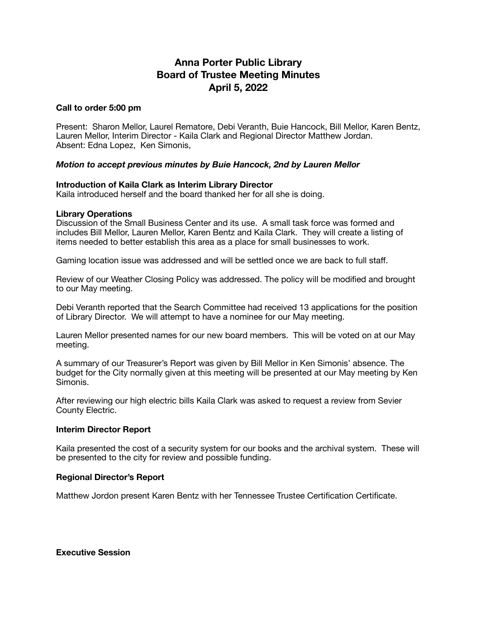# **Anna Porter Public Library Board of Trustee Meeting Minutes April 5, 2022**

### **Call to order 5:00 pm**

Present: Sharon Mellor, Laurel Rematore, Debi Veranth, Buie Hancock, Bill Mellor, Karen Bentz, Lauren Mellor, Interim Director - Kaila Clark and Regional Director Matthew Jordan. Absent: Edna Lopez, Ken Simonis,

## *Motion to accept previous minutes by Buie Hancock, 2nd by Lauren Mellor*

#### **Introduction of Kaila Clark as Interim Library Director**

Kaila introduced herself and the board thanked her for all she is doing.

#### **Library Operations**

Discussion of the Small Business Center and its use. A small task force was formed and includes Bill Mellor, Lauren Mellor, Karen Bentz and Kaila Clark. They will create a listing of items needed to better establish this area as a place for small businesses to work.

Gaming location issue was addressed and will be settled once we are back to full staff.

Review of our Weather Closing Policy was addressed. The policy will be modified and brought to our May meeting.

Debi Veranth reported that the Search Committee had received 13 applications for the position of Library Director. We will attempt to have a nominee for our May meeting.

Lauren Mellor presented names for our new board members. This will be voted on at our May meeting.

A summary of our Treasurer's Report was given by Bill Mellor in Ken Simonis' absence. The budget for the City normally given at this meeting will be presented at our May meeting by Ken Simonis.

After reviewing our high electric bills Kaila Clark was asked to request a review from Sevier County Electric.

#### **Interim Director Report**

Kaila presented the cost of a security system for our books and the archival system. These will be presented to the city for review and possible funding.

#### **Regional Director's Report**

Matthew Jordon present Karen Bentz with her Tennessee Trustee Certification Certificate.

**Executive Session**